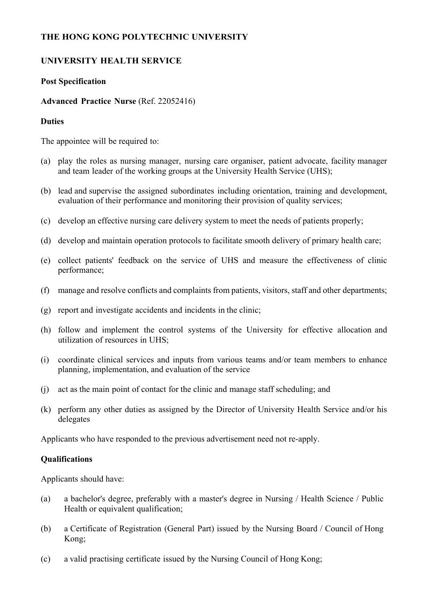## **THE HONG KONG POLYTECHNIC UNIVERSITY**

# **UNIVERSITY HEALTH SERVICE**

### **Post Specification**

### **Advanced Practice Nurse** (Ref. 22052416)

#### **Duties**

The appointee will be required to:

- (a) play the roles as nursing manager, nursing care organiser, patient advocate, facility manager and team leader of the working groups at the University Health Service (UHS);
- (b) lead and supervise the assigned subordinates including orientation, training and development, evaluation of their performance and monitoring their provision of quality services;
- (c) develop an effective nursing care delivery system to meet the needs of patients properly;
- (d) develop and maintain operation protocols to facilitate smooth delivery of primary health care;
- (e) collect patients' feedback on the service of UHS and measure the effectiveness of clinic performance;
- (f) manage and resolve conflicts and complaints from patients, visitors, staff and other departments;
- (g) report and investigate accidents and incidents in the clinic;
- (h) follow and implement the control systems of the University for effective allocation and utilization of resources in UHS;
- (i) coordinate clinical services and inputs from various teams and/or team members to enhance planning, implementation, and evaluation of the service
- (j) act as the main point of contact for the clinic and manage staff scheduling; and
- (k) perform any other duties as assigned by the Director of University Health Service and/or his delegates

Applicants who have responded to the previous advertisement need not re-apply.

#### **Qualifications**

Applicants should have:

- (a) a bachelor's degree, preferably with a master's degree in Nursing / Health Science / Public Health or equivalent qualification;
- (b) a Certificate of Registration (General Part) issued by the Nursing Board / Council of Hong Kong;
- (c) a valid practising certificate issued by the Nursing Council of Hong Kong;